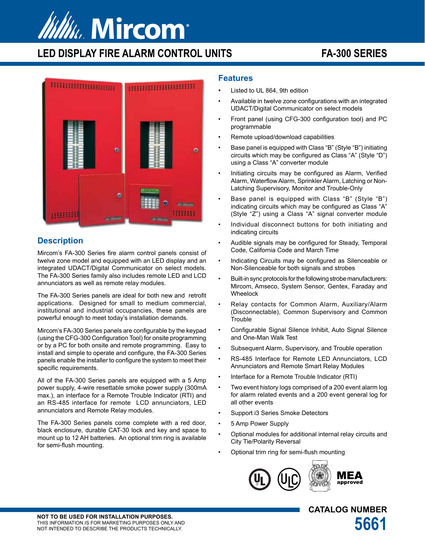# Ww. Mircom®

# **LED DISPLAY FIRE ALARM CONTROL UNITS FA-300 SERIES**



# **Description**

Mircom's FA-300 Series fire alarm control panels consist of twelve zone model and equipped with an LED display and an integrated UDACT/Digital Communicator on select models. The FA-300 Series family also includes remote LED and LCD annunciators as well as remote relay modules.

The FA-300 Series panels are ideal for both new and retrofit applications. Designed for small to medium commercial, institutional and industrial occupancies, these panels are powerful enough to meet today's installation demands.

Mircom's FA-300 Series panels are configurable by the keypad (using the CFG-300 Configuration Tool) for onsite programming or by a PC for both onsite and remote programming. Easy to install and simple to operate and configure, the FA-300 Series panels enable the installer to configure the system to meet their specific requirements.

All of the FA-300 Series panels are equipped with a 5 Amp power supply, 4-wire resettable smoke power supply (300mA max.), an interface for a Remote Trouble Indicator (RTI) and an RS-485 interface for remote LCD annunciators, LED annunciators and Remote Relay modules.

The FA-300 Series panels come complete with a red door, black enclosure, durable CAT-30 lock and key and space to mount up to 12 AH batteries. An optional trim ring is available for semi-flush mounting.

# **Features**

- Listed to UL 864, 9th edition
- Available in twelve zone configurations with an integrated UDACT/Digital Communicator on select models
- Front panel (using CFG-300 configuration tool) and PC programmable
- Remote upload/download capabilities
- Base panel is equipped with Class "B" (Style "B") initiating circuits which may be configured as Class "A" (Style "D") using a Class "A" converter module
- Initiating circuits may be configured as Alarm, Verified Alarm, Waterflow Alarm, Sprinkler Alarm, Latching or Non-Latching Supervisory, Monitor and Trouble-Only
- Base panel is equipped with Class "B" (Style "B") indicating circuits which may be configured as Class "A" (Style "Z") using a Class "A" signal converter module
- Individual disconnect buttons for both initiating and indicating circuits
- Audible signals may be configured for Steady, Temporal Code, California Code and March Time
- Indicating Circuits may be configured as Silenceable or Non-Silenceable for both signals and strobes
- Built-in sync protocols for the following strobe manufacturers: Mircom, Amseco, System Sensor, Gentex, Faraday and Wheelock
- Relay contacts for Common Alarm, Auxiliary/Alarm (Disconnectable), Common Supervisory and Common **Trouble**
- Configurable Signal Silence Inhibit, Auto Signal Silence and One-Man Walk Test
- Subsequent Alarm, Supervisory, and Trouble operation
- RS-485 Interface for Remote LED Annunciators, LCD Annunciators and Remote Smart Relay Modules
- Interface for a Remote Trouble Indicator (RTI)
- Two event history logs comprised of a 200 event alarm log for alarm related events and a 200 event general log for all other events
- Support i3 Series Smoke Detectors
- 5 Amp Power Supply
- Optional modules for additional internal relay circuits and City Tie/Polarity Reversal
- Optional trim ring for semi-flush mounting



**CATALOG NUMBER**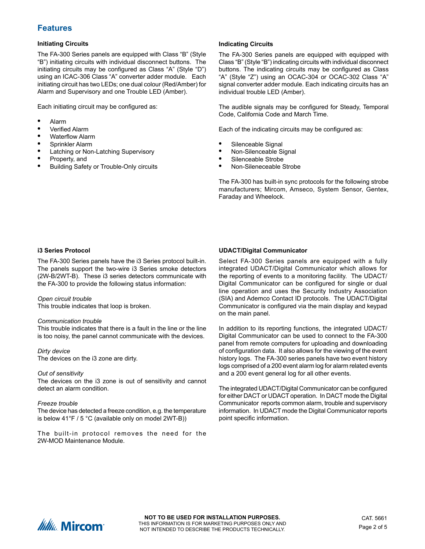# **Features**

#### **Initiating Circuits**

The FA-300 Series panels are equipped with Class "B" (Style "B") initiating circuits with individual disconnect buttons. The initiating circuits may be configured as Class "A" (Style "D") using an ICAC-306 Class "A" converter adder module. Each initiating circuit has two LEDs; one dual colour (Red/Amber) for Alarm and Supervisory and one Trouble LED (Amber).

Each initiating circuit may be configured as:

- **•** Alarm
- **•** Verified Alarm
- **•** Waterflow Alarm
- **•** Sprinkler Alarm
- **•** Latching or Non-Latching Supervisory
- **•** Property, and
- **•** Building Safety or Trouble-Only circuits

#### **Indicating Circuits**

The FA-300 Series panels are equipped with equipped with Class "B" (Style "B") indicating circuits with individual disconnect buttons. The indicating circuits may be configured as Class "A" (Style "Z") using an OCAC-304 or OCAC-302 Class "A" signal converter adder module. Each indicating circuits has an individual trouble LED (Amber).

The audible signals may be configured for Steady, Temporal Code, California Code and March Time.

Each of the indicating circuits may be configured as:

- **•** Silenceable Signal
- **•** Non-Silenceable Signal
- **•** Silenceable Strobe
- **•** Non-Sileneceable Strobe

The FA-300 has built-in sync protocols for the following strobe manufacturers; Mircom, Amseco, System Sensor, Gentex, Faraday and Wheelock.

#### **i3 Series Protocol**

The FA-300 Series panels have the i3 Series protocol built-in. The panels support the two-wire i3 Series smoke detectors (2W-B/2WT-B). These i3 series detectors communicate with the FA-300 to provide the following status information:

*Open circuit trouble*

This trouble indicates that loop is broken.

#### *Communication trouble*

This trouble indicates that there is a fault in the line or the line is too noisy, the panel cannot communicate with the devices.

*Dirty device*

The devices on the i3 zone are dirty.

#### *Out of sensitivity*

The devices on the i3 zone is out of sensitivity and cannot detect an alarm condition.

#### *Freeze trouble*

The device has detected a freeze condition, e.g. the temperature is below 41°F / 5 °C (available only on model 2WT-B))

The built-in protocol removes the need for the 2W-MOD Maintenance Module.

#### **UDACT/Digital Communicator**

Select FA-300 Series panels are equipped with a fully integrated UDACT/Digital Communicator which allows for the reporting of events to a monitoring facility. The UDACT/ Digital Communicator can be configured for single or dual line operation and uses the Security Industry Association (SIA) and Ademco Contact ID protocols. The UDACT/Digital Communicator is configured via the main display and keypad on the main panel.

In addition to its reporting functions, the integrated UDACT/ Digital Communicator can be used to connect to the FA-300 panel from remote computers for uploading and downloading of configuration data. It also allows for the viewing of the event history logs. The FA-300 series panels have two event history logs comprised of a 200 event alarm log for alarm related events and a 200 event general log for all other events.

The integrated UDACT/Digital Communicator can be configured for either DACT or UDACT operation. In DACT mode the Digital Communicator reports common alarm, trouble and supervisory information. In UDACT mode the Digital Communicator reports point specific information.

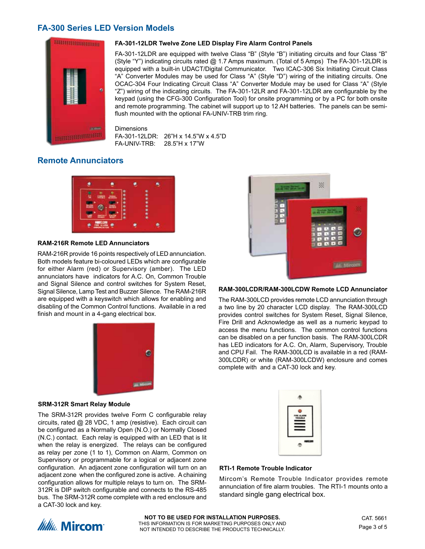# **FA-300 Series LED Version Models**



#### **FA-301-12LDR Twelve Zone LED Display Fire Alarm Control Panels**

FA-301-12LDR are equipped with twelve Class "B" (Style "B") initiating circuits and four Class "B" (Style "Y") indicating circuits rated @ 1.7 Amps maximum. (Total of 5 Amps) The FA-301-12LDR is equipped with a built-in UDACT/Digital Communicator. Two ICAC-306 Six Initiating Circuit Class "A" Converter Modules may be used for Class "A" (Style "D") wiring of the initiating circuits. One OCAC-304 Four Indicating Circuit Class "A" Converter Module may be used for Class "A" (Style "Z") wiring of the indicating circuits. The FA-301-12LR and FA-301-12LDR are configurable by the keypad (using the CFG-300 Configuration Tool) for onsite programming or by a PC for both onsite and remote programming. The cabinet will support up to 12 AH batteries. The panels can be semiflush mounted with the optional FA-UNIV-TRB trim ring.

**Dimensions** FA-301-12LDR: 26"H x 14.5"W x 4.5"D FA-UNIV-TRB: 28.5"H x 17"W

# **Remote Annunciators**



#### **RAM-216R Remote LED Annunciators**

RAM-216R provide 16 points respectively of LED annunciation. Both models feature bi-coloured LEDs which are configurable for either Alarm (red) or Supervisory (amber). The LED annunciators have indicators for A.C. On, Common Trouble and Signal Silence and control switches for System Reset, Signal Silence, Lamp Test and Buzzer Silence. The RAM-216R are equipped with a keyswitch which allows for enabling and disabling of the Common Control functions. Available in a red finish and mount in a 4-gang electrical box.



#### **SRM-312R Smart Relay Module**

The SRM-312R provides twelve Form C configurable relay circuits, rated @ 28 VDC, 1 amp (resistive). Each circuit can be configured as a Normally Open (N.O.) or Normally Closed (N.C.) contact. Each relay is equipped with an LED that is lit when the relay is energized. The relays can be configured as relay per zone (1 to 1), Common on Alarm, Common on Supervisory or programmable for a logical or adjacent zone configuration. An adjacent zone configuration will turn on an adjacent zone when the configured zone is active. A chaining configuration allows for multiple relays to turn on. The SRM-312R is DIP switch configurable and connects to the RS-485 bus. The SRM-312R come complete with a red enclosure and a CAT-30 lock and key.



#### **RAM-300LCDR/RAM-300LCDW Remote LCD Annunciator**

The RAM-300LCD provides remote LCD annunciation through a two line by 20 character LCD display. The RAM-300LCD provides control switches for System Reset, Signal Silence, Fire Drill and Acknowledge as well as a numeric keypad to access the menu functions. The common control functions can be disabled on a per function basis. The RAM-300LCDR has LED indicators for A.C. On, Alarm, Supervisory, Trouble and CPU Fail. The RAM-300LCD is available in a red (RAM-300LCDR) or white (RAM-300LCDW) enclosure and comes complete with and a CAT-30 lock and key.



#### **RTI-1 Remote Trouble Indicator**

Mircom's Remote Trouble Indicator provides remote annunciation of fire alarm troubles. The RTI-1 mounts onto a standard single gang electrical box.

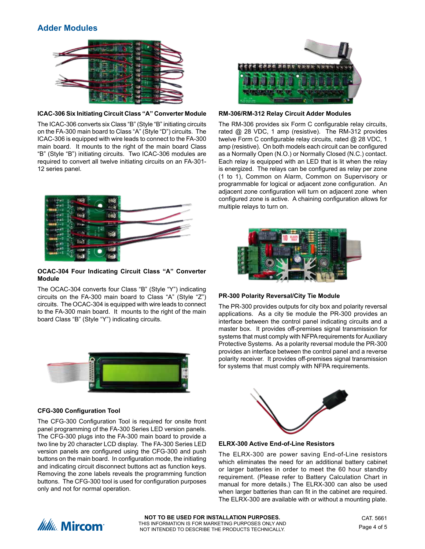# **Adder Modules**



#### **ICAC-306 Six Initiating Circuit Class "A" Converter Module**

The ICAC-306 converts six Class "B" (Style "B" initiating circuits on the FA-300 main board to Class "A" (Style "D") circuits. The ICAC-306 is equipped with wire leads to connect to the FA-300 main board. It mounts to the right of the main board Class "B" (Style "B") initiating circuits. Two ICAC-306 modules are required to convert all twelve initiating circuits on an FA-301- 12 series panel.



#### **OCAC-304 Four Indicating Circuit Class "A" Converter Module**

The OCAC-304 converts four Class "B" (Style "Y") indicating circuits on the FA-300 main board to Class "A" (Style "Z") circuits. The OCAC-304 is equipped with wire leads to connect to the FA-300 main board. It mounts to the right of the main board Class "B" (Style "Y") indicating circuits.



#### **CFG-300 Configuration Tool**

The CFG-300 Configuration Tool is required for onsite front panel programming of the FA-300 Series LED version panels. The CFG-300 plugs into the FA-300 main board to provide a two line by 20 character LCD display. The FA-300 Series LED version panels are configured using the CFG-300 and push buttons on the main board. In configuration mode, the initiating and indicating circuit disconnect buttons act as function keys. Removing the zone labels reveals the programming function buttons. The CFG-300 tool is used for configuration purposes only and not for normal operation.



**RM-306/RM-312 Relay Circuit Adder Modules**

The RM-306 provides six Form C configurable relay circuits, rated @ 28 VDC, 1 amp (resistive). The RM-312 provides twelve Form C configurable relay circuits, rated @ 28 VDC, 1 amp (resistive). On both models each circuit can be configured as a Normally Open (N.O.) or Normally Closed (N.C.) contact. Each relay is equipped with an LED that is lit when the relay is energized. The relays can be configured as relay per zone (1 to 1), Common on Alarm, Common on Supervisory or programmable for logical or adjacent zone configuration. An adjacent zone configuration will turn on adjacent zone when configured zone is active. A chaining configuration allows for multiple relays to turn on.



### **PR-300 Polarity Reversal/City Tie Module**

The PR-300 provides outputs for city box and polarity reversal applications. As a city tie module the PR-300 provides an interface between the control panel indicating circuits and a master box. It provides off-premises signal transmission for systems that must comply with NFPA requirements for Auxiliary Protective Systems. As a polarity reversal module the PR-300 provides an interface between the control panel and a reverse polarity receiver. It provides off-premises signal transmission for systems that must comply with NFPA requirements.



#### **ELRX-300 Active End-of-Line Resistors**

The ELRX-300 are power saving End-of-Line resistors which eliminates the need for an additional battery cabinet or larger batteries in order to meet the 60 hour standby requirement. (Please refer to Battery Calculation Chart in manual for more details.) The ELRX-300 can also be used when larger batteries than can fit in the cabinet are required. The ELRX-300 are available with or without a mounting plate.